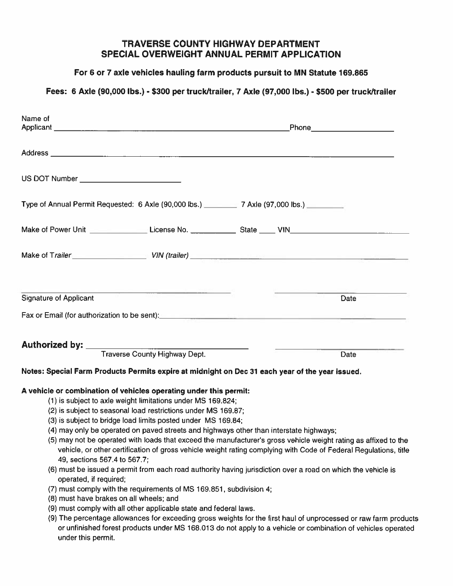#### TRAVERSE COUNTY HIGHWAY DEPARTMENT SPECIAL OVERWEIGHT ANNUAL PERMIT APPLICATION

#### For 6 or 7 axle vehicles hauling farm products pursuit to MN Statute 169.865

## Fees: <sup>6</sup> Axle (90,000 lbs.) - \$300 per truckitrailer, <sup>7</sup> Axle (97,000 lbs.) - \$500 per truck/trailer

| <b>TRAVERSE COUNTY HIGHWAY DEPARTMENT</b><br><b>SPECIAL OVERWEIGHT ANNUAL PERMIT APPLICATION</b><br>For 6 or 7 axle vehicles hauling farm products pursuit to MN Statute 169.865                                                                                                                                                                                                                                                                                                                                                                                                                                                                                                                                                                   |                                                                                                                                                                                                                                                                                                                                                                                                                                                                         |  |
|----------------------------------------------------------------------------------------------------------------------------------------------------------------------------------------------------------------------------------------------------------------------------------------------------------------------------------------------------------------------------------------------------------------------------------------------------------------------------------------------------------------------------------------------------------------------------------------------------------------------------------------------------------------------------------------------------------------------------------------------------|-------------------------------------------------------------------------------------------------------------------------------------------------------------------------------------------------------------------------------------------------------------------------------------------------------------------------------------------------------------------------------------------------------------------------------------------------------------------------|--|
|                                                                                                                                                                                                                                                                                                                                                                                                                                                                                                                                                                                                                                                                                                                                                    |                                                                                                                                                                                                                                                                                                                                                                                                                                                                         |  |
| Name of                                                                                                                                                                                                                                                                                                                                                                                                                                                                                                                                                                                                                                                                                                                                            |                                                                                                                                                                                                                                                                                                                                                                                                                                                                         |  |
|                                                                                                                                                                                                                                                                                                                                                                                                                                                                                                                                                                                                                                                                                                                                                    |                                                                                                                                                                                                                                                                                                                                                                                                                                                                         |  |
| US DOT Number ___________________________                                                                                                                                                                                                                                                                                                                                                                                                                                                                                                                                                                                                                                                                                                          |                                                                                                                                                                                                                                                                                                                                                                                                                                                                         |  |
| Type of Annual Permit Requested: 6 Axle (90,000 lbs.) 7 Axle (97,000 lbs.)                                                                                                                                                                                                                                                                                                                                                                                                                                                                                                                                                                                                                                                                         |                                                                                                                                                                                                                                                                                                                                                                                                                                                                         |  |
|                                                                                                                                                                                                                                                                                                                                                                                                                                                                                                                                                                                                                                                                                                                                                    |                                                                                                                                                                                                                                                                                                                                                                                                                                                                         |  |
|                                                                                                                                                                                                                                                                                                                                                                                                                                                                                                                                                                                                                                                                                                                                                    |                                                                                                                                                                                                                                                                                                                                                                                                                                                                         |  |
| $\frac{1}{\sqrt{2\pi}}\left[\frac{1}{\sqrt{2\pi}}\left(\frac{1}{\sqrt{2\pi}}\right)^{1/2}\right]^{1/2}\left[\frac{1}{\sqrt{2\pi}}\left(\frac{1}{\sqrt{2\pi}}\right)^{1/2}\right]^{1/2}\left[\frac{1}{\sqrt{2\pi}}\left(\frac{1}{\sqrt{2\pi}}\right)^{1/2}\right]^{1/2}\left[\frac{1}{\sqrt{2\pi}}\left(\frac{1}{\sqrt{2\pi}}\right)^{1/2}\right]^{1/2}\right]^{1/2}\left[\frac{1}{\sqrt{2\pi}}\left(\frac{1}{\sqrt{2\pi}}\right)^{1$<br><b>Signature of Applicant</b>                                                                                                                                                                                                                                                                              | Date                                                                                                                                                                                                                                                                                                                                                                                                                                                                    |  |
| Fax or Email (for authorization to be sent): example and the set of the sense of the sense of the sense of the sense of the sense of the sense of the sense of the sense of the sense of the sense of the sense of the sense o                                                                                                                                                                                                                                                                                                                                                                                                                                                                                                                     |                                                                                                                                                                                                                                                                                                                                                                                                                                                                         |  |
| <b>Authorized by:</b><br><b>Traverse County Highway Dept.</b>                                                                                                                                                                                                                                                                                                                                                                                                                                                                                                                                                                                                                                                                                      | Date                                                                                                                                                                                                                                                                                                                                                                                                                                                                    |  |
| Notes: Special Farm Products Permits expire at midnight on Dec 31 each year of the year issued.                                                                                                                                                                                                                                                                                                                                                                                                                                                                                                                                                                                                                                                    |                                                                                                                                                                                                                                                                                                                                                                                                                                                                         |  |
| A vehicle or combination of vehicles operating under this permit:<br>(1) is subject to axle weight limitations under MS 169.824;<br>(2) is subject to seasonal load restrictions under MS 169.87;<br>(3) is subject to bridge load limits posted under MS 169.84;<br>(4) may only be operated on paved streets and highways other than interstate highways;<br>49, sections 567.4 to 567.7;<br>(6) must be issued a permit from each road authority having jurisdiction over a road on which the vehicle is<br>operated, if required;<br>(7) must comply with the requirements of MS 169.851, subdivision 4;<br>(8) must have brakes on all wheels; and<br>(9) must comply with all other applicable state and federal laws.<br>under this permit. | (5) may not be operated with loads that exceed the manufacturer's gross vehicle weight rating as affixed to the<br>vehicle, or other certification of gross vehicle weight rating complying with Code of Federal Regulations, title<br>(9) The percentage allowances for exceeding gross weights for the first haul of unprocessed or raw farm products<br>or unfinished forest products under MS 168.013 do not apply to a vehicle or combination of vehicles operated |  |